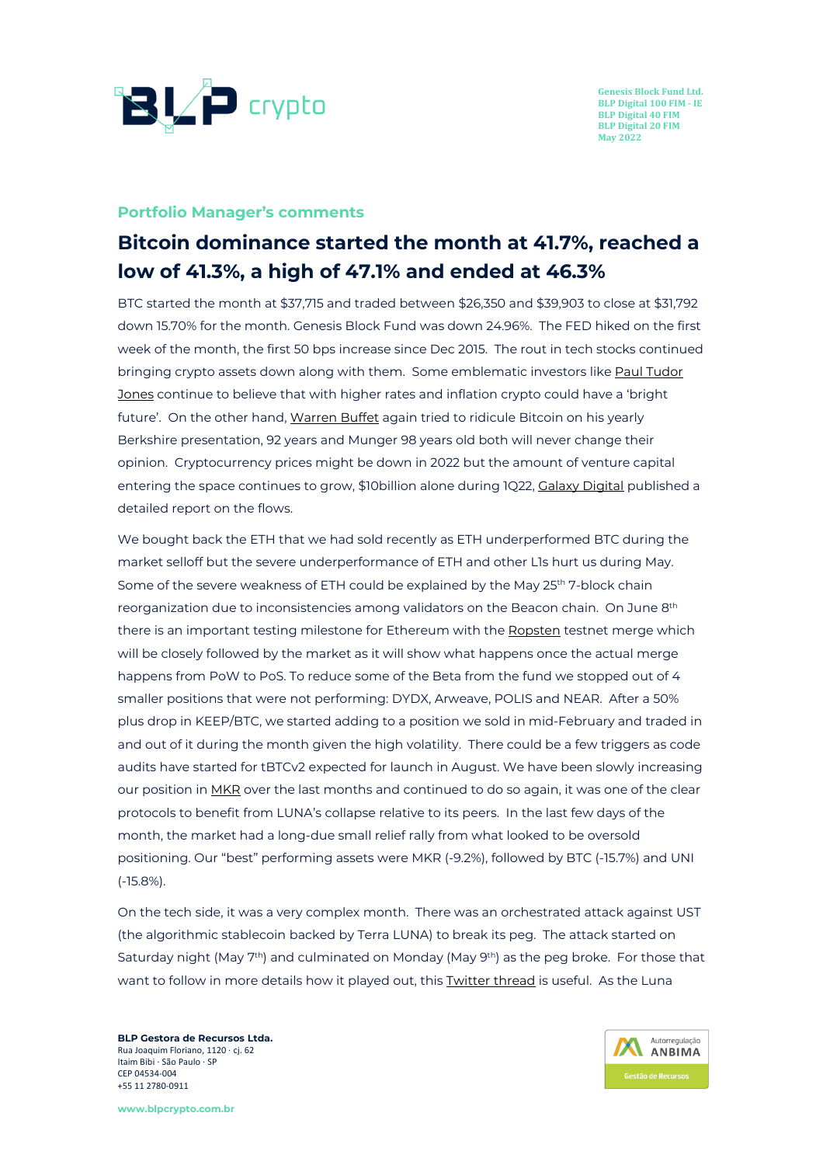

#### **Portfolio Manager's comments**

# **Bitcoin dominance started the month at 41.7%, reached a low of 41.3%, a high of 47.1% and ended at 46.3%**

BTC started the month at \$37,715 and traded between \$26,350 and \$39,903 to close at \$31,792 down 15.70% for the month. Genesis Block Fund was down 24.96%. The FED hiked on the first week of the month, the first 50 bps increase since Dec 2015. The rout in tech stocks continued bringing crypto assets down along with them. Some emblematic investors like Paul [Tudor](https://www.cnbc.com/2022/05/03/crypto-could-have-a-bright-future-amid-rising-rates-says-investor-paul-tudor-jones-.html) [Jones](https://www.cnbc.com/2022/05/03/crypto-could-have-a-bright-future-amid-rising-rates-says-investor-paul-tudor-jones-.html) continue to believe that with higher rates and inflation crypto could have a 'bright future'. On the other hand, [Warren](https://www.cnbc.com/2022/04/30/warren-buffett-gives-his-most-expansive-explanation-for-why-he-doesnt-believe-in-bitcoin.html) Buffet again tried to ridicule Bitcoin on his yearly Berkshire presentation, 92 years and Munger 98 years old both will never change their opinion. Cryptocurrency prices might be down in 2022 but the amount of venture capital entering the space continues to grow, \$10billion alone during 1Q22, Galaxy [Digital](https://docsend.com/view/pcqedfadn55d5tep) published a detailed report on the flows.

We bought back the ETH that we had sold recently as ETH underperformed BTC during the market selloff but the severe underperformance of ETH and other L1s hurt us during May. Some of the severe weakness of ETH could be explained by the May 25<sup>th</sup> 7-block chain reorganization due to inconsistencies among validators on the Beacon chain. On June 8th there is an important testing milestone for Ethereum with the [Ropsten](https://cointelegraph.com/news/huge-testing-milestone-for-ethereum-ropsten-testnet-merge-set-for-june-8) testnet merge which will be closely followed by the market as it will show what happens once the actual merge happens from PoW to PoS. To reduce some of the Beta from the fund we stopped out of 4 smaller positions that were not performing: DYDX, Arweave, POLIS and NEAR. After a 50% plus drop in KEEP/BTC, we started adding to a position we sold in mid-February and traded in and out of it during the month given the high volatility. There could be a few triggers as code audits have started for tBTCv2 expected for launch in August. We have been slowly increasing our position in [MKR](https://decrypt.co/100301/maker-defi-token-jumps-users-turn-dai-stablecoin-terra-collapse) over the last months and continued to do so again, it was one of the clear protocols to benefit from LUNA's collapse relative to its peers. In the last few days of the month, the market had a long-due small relief rally from what looked to be oversold positioning. Our "best" performing assets were MKR (-9.2%), followed by BTC (-15.7%) and UNI (-15.8%).

On the tech side, it was a very complex month. There was an orchestrated attack against UST (the algorithmic stablecoin backed by Terra LUNA) to break its peg. The attack started on Saturday night (May 7<sup>th</sup>) and culminated on Monday (May 9<sup>th</sup>) as the peg broke. For those that want to follow in more details how it played out, this [Twitter](https://twitter.com/jonwu_/status/1523793482850050048?s=12) thread is useful. As the Luna

**BLP Gestora de Recursos Ltda.** Rua Joaquim Floriano, 1120 ∙ cj. 62 Itaim Bibi ∙ São Paulo ∙ SP CEP 04534-004 +55 11 2780-0911

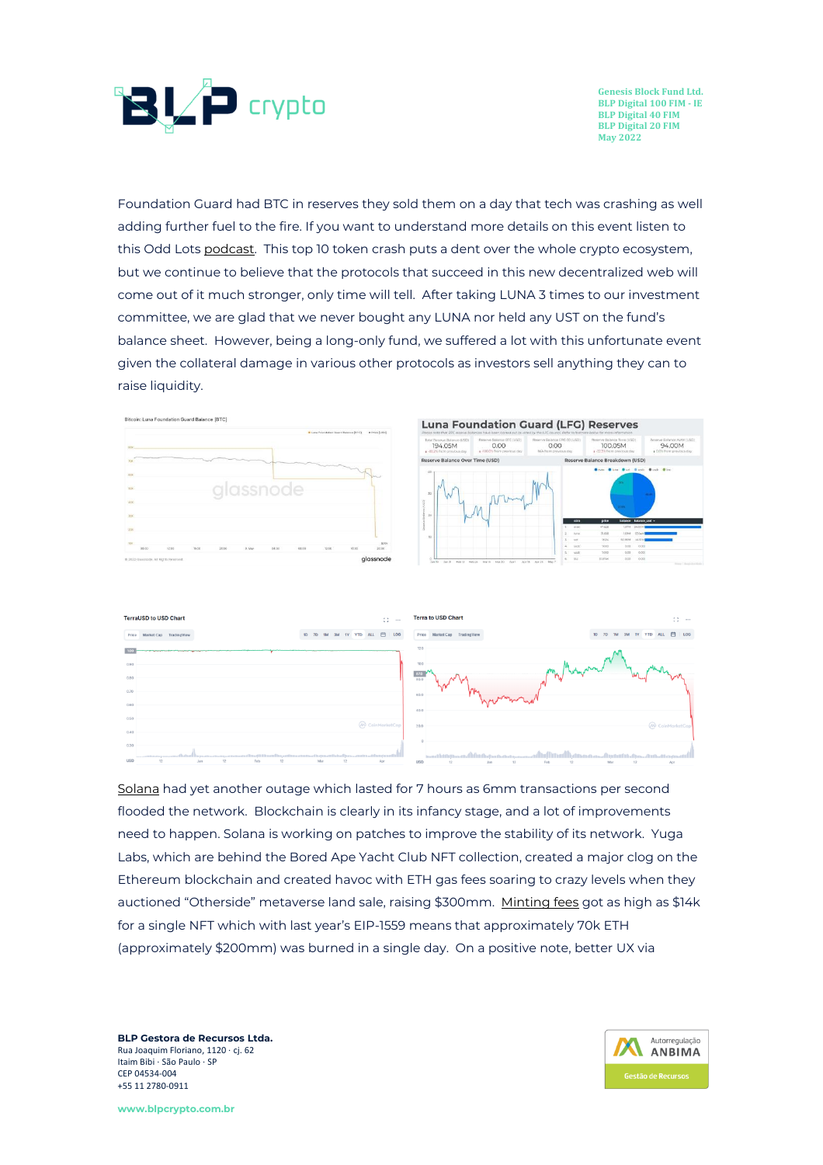

Foundation Guard had BTC in reserves they sold them on a day that tech was crashing as well adding further fuel to the fire. If you want to understand more details on this event listen to this Odd Lots [podcast.](https://podcasts.apple.com/br/podcast/odd-lots/id1056200096?i=1000561475079) This top 10 token crash puts a dent over the whole crypto ecosystem, but we continue to believe that the protocols that succeed in this new decentralized web will come out of it much stronger, only time will tell. After taking LUNA 3 times to our investment committee, we are glad that we never bought any LUNA nor held any UST on the fund's balance sheet. However, being a long-only fund, we suffered a lot with this unfortunate event given the collateral damage in various other protocols as investors sell anything they can to raise liquidity.



**Luna Foundation Guard (LFG) Reserves** 





[Solana](https://solana.com/news/04-30-22-solana-mainnet-beta-outage-report-mitigation) had yet another outage which lasted for 7 hours as 6mm transactions per second flooded the network. Blockchain is clearly in its infancy stage, and a lot of improvements need to happen. Solana is working on patches to improve the stability of its network. Yuga Labs, which are behind the Bored Ape Yacht Club NFT collection, created a major clog on the Ethereum blockchain and created havoc with ETH gas fees soaring to crazy levels when they auctioned "Otherside" metaverse land sale, raising \$300mm. [Minting](https://cointelegraph.com/news/ethereum-burning-spikes-to-new-high-on-yuga-labs-nft-hype) fees got as high as \$14k for a single NFT which with last year's EIP-1559 means that approximately 70k ETH (approximately \$200mm) was burned in a single day. On a positive note, better UX via

**BLP Gestora de Recursos Ltda.** Rua Joaquim Floriano, 1120 ∙ cj. 62 Itaim Bibi ∙ São Paulo ∙ SP CEP 04534-004 +55 11 2780-0911

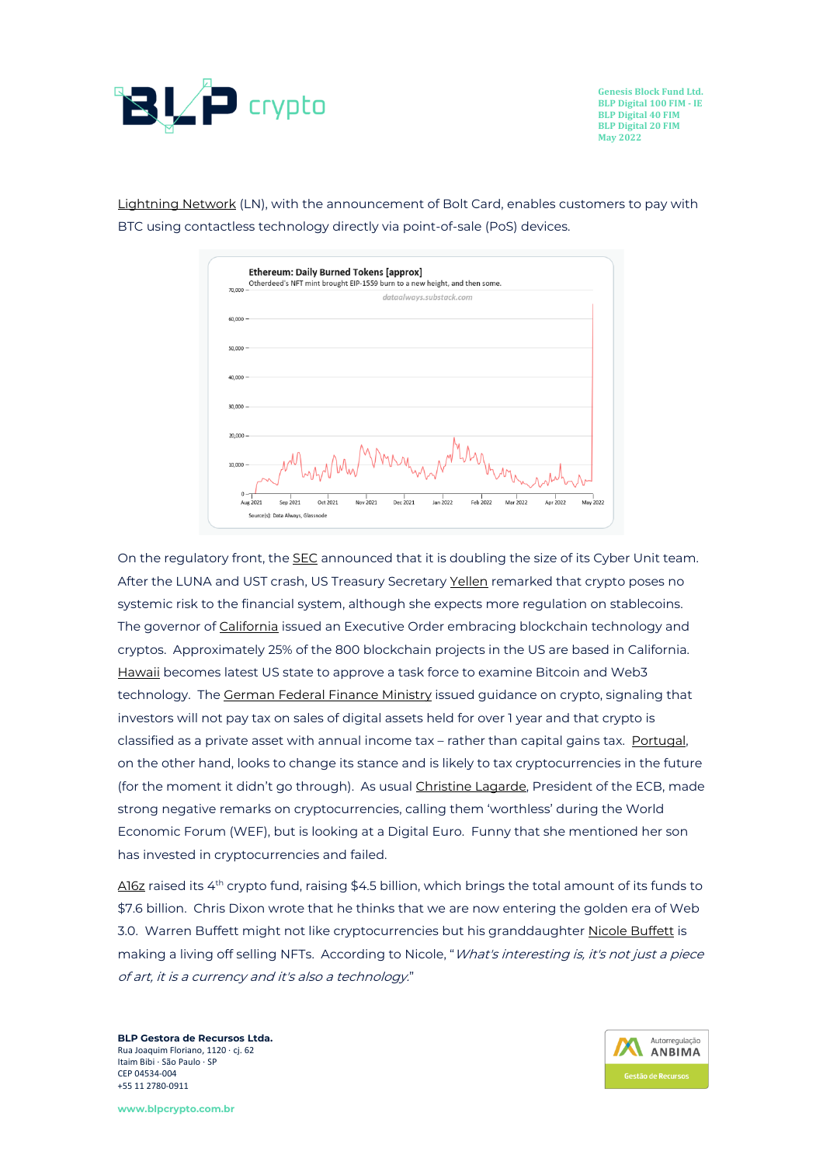

[Lightning](https://cointelegraph.com/news/the-lightning-network-lunch-a-bitcoin-contactless-payment-story) Network (LN), with the announcement of Bolt Card, enables customers to pay with BTC using contactless technology directly via point-of-sale (PoS) devices.



On the regulatory front, the **[SEC](https://www.sec.gov/news/press-release/2022-78)** announced that it is doubling the size of its Cyber Unit team. After the LUNA and UST crash, US Treasury Secretary [Yellen](https://decrypt.co/100212/yellen-crypto-systemic-risk) remarked that crypto poses no systemic risk to the financial system, although she expects more regulation on stablecoins. The governor of [California](https://www.cnbc.com/2022/05/04/california-governor-signs-executive-order-on-cryptocurrencies.html) issued an Executive Order embracing blockchain technology and cryptos. Approximately 25% of the 800 blockchain projects in the US are based in California. [Hawaii](https://decrypt.co/99372/hawaii-becomes-latest-state-to-approve-crypto-taskforce) becomes latest US state to approve a task force to examine Bitcoin and Web3 technology. The [German](https://decrypt.co/100086/germany-wont-tax-bitcoin-ethereum-sold-after-one-year-of-possession) Federal Finance Ministry issued guidance on crypto, signaling that investors will not pay tax on sales of digital assets held for over 1 year and that crypto is classified as a private asset with annual income tax – rather than capital gains tax. [Portugal,](https://www.coindesk.com/policy/2022/05/16/portugal-makes-u-turn-on-cryptocurrency-tax/) on the other hand, looks to change its stance and is likely to tax cryptocurrencies in the future (for the moment it didn't go through). As usual [Christine](https://bitcoinist.com/crypto-is-worthless-ecb-president/) Lagarde, President of the ECB, made strong negative remarks on cryptocurrencies, calling them 'worthless' during the World Economic Forum (WEF), but is looking at a Digital Euro. Funny that she mentioned her son has invested in cryptocurrencies and failed.

<u>[A16z](https://a16zcrypto.com/crypto-fund-four/)</u> raised its 4<sup>th</sup> crypto fund, raising \$4.5 billion, which brings the total amount of its funds to \$7.6 billion. Chris Dixon wrote that he thinks that we are now entering the golden era of Web 3.0. Warren [Buffett](https://fortune.com/2022/05/28/warren-buffett-granddaughter-nicole-nft-artist-crypto/) might not like cryptocurrencies but his granddaughter Nicole Buffett is making a living off selling NFTs. According to Nicole, "*What's interesting is, it's not just a piece* of art, it is <sup>a</sup> currency and it's also <sup>a</sup> technology."

**BLP Gestora de Recursos Ltda.** Rua Joaquim Floriano, 1120 ∙ cj. 62 Itaim Bibi ∙ São Paulo ∙ SP CEP 04534-004 +55 11 2780-0911

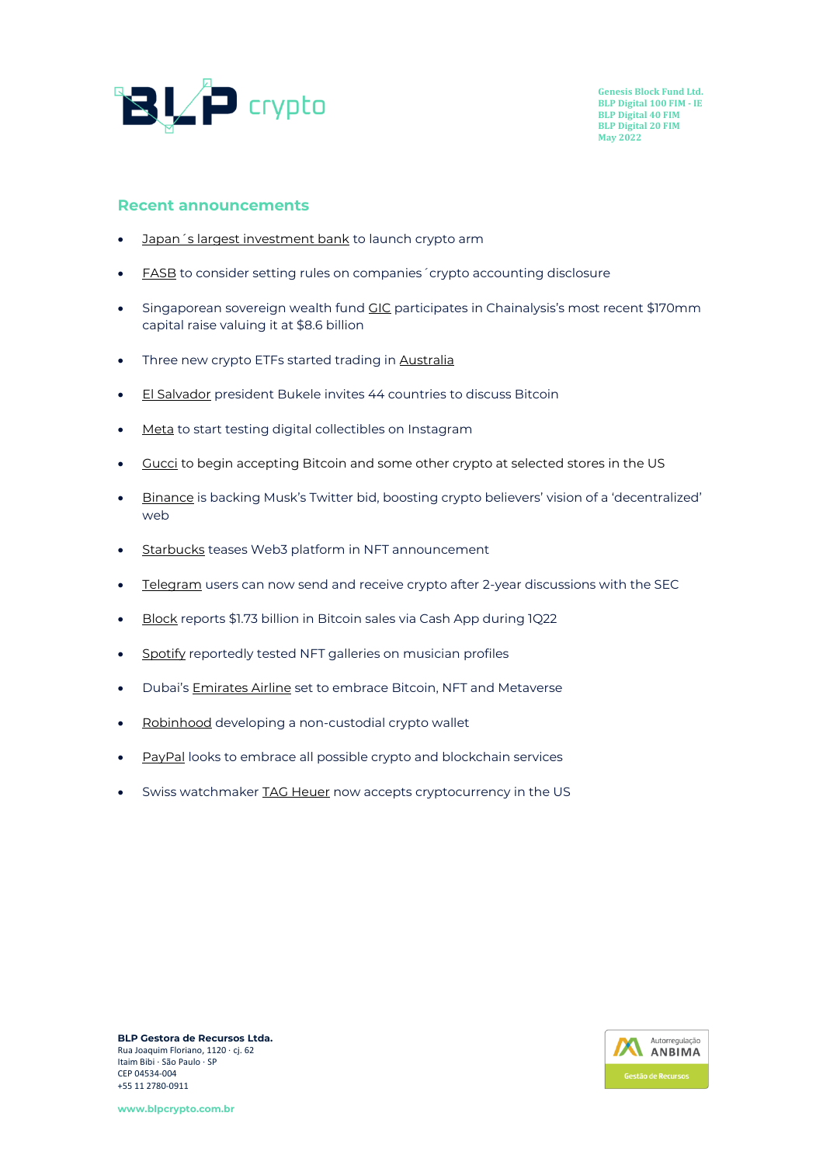

#### **Recent announcements**

- [Japan´s largest investment bank](https://www.theblockcrypto.com/post/147083/japans-largest-investment-bank-nomura-to-launch-crypto-arm-ft-reports%22) to launch crypto arm
- **[FASB](https://www.wsj.com/articles/fasb-to-consider-setting-rules-on-companies-crypto-accounting-disclosure-11652297711?utm_medium=email&_hsmi=213045264&_hsenc=p2ANqtz-8sNcjivYaroXC8jUwagY8T0B6QjMaC2_VudM_e-IqfDxIeRoFLoj1MlPDJwD5iweanPD6-Z3tK-st3hof88j1jPeWNHA&utm_content=213045264&utm_source=hs_email)** to consider setting rules on companies 'crypto accounting disclosure
- Singaporean sovereign wealth fund [GIC](https://cointelegraph.com/news/chainalysis-announces-170m-funding-round-platform-now-valued-at-8-6-billion) participates in Chainalysis's most recent \$170mm capital raise valuing it at \$8.6 billion
- Three new crypto ETFs started trading in [Australia](https://cointelegraph.com/news/three-new-crypto-etfs-to-begin-trading-in-australia-this-week)
- **[El Salvador](https://bitcoinmagazine.com/markets/el-salvador-president-nayib-bukele-announces-countries-to-discuss-bitcoin)** president Bukele invites 44 countries to discuss Bitcoin
- [Meta](https://about.fb.com/news/2022/05/introducing-digital-collectibles-to-showcase-nfts-instagram/) to start testing digital collectibles on Instagram
- [Gucci](https://decrypt.co/99504/gucci-begin-accepting-bitcoin-some-stores) to begin accepting Bitcoin and some other crypto at selected stores in the US
- [Binance](https://www.cnbc.com/2022/05/05/binance-backing-for-elon-musks-twitter-bid-boosts-web3-vision.html) is backing Musk's Twitter bid, boosting crypto believers' vision of a 'decentralized' web
- [Starbucks](https://www.coindesk.com/business/2022/05/04/starbucks-teases-web-3-platform-in-nft-announcement/) teases Web3 platform in NFT announcement
- [Telegram](https://blockworks.co/telegram-users-can-now-send-receive-crypto-following-2-year-hiatus/) users can now send and receive crypto after 2-year discussions with the SEC
- [Block](https://www.theblockcrypto.com/post/145363/block-reports-1-73-billion-in-bitcoin-sales-via-cash-app-during-q1-2022) reports \$1.73 billion in Bitcoin sales via Cash App during 1Q22
- [Spotify](https://cointelegraph.com/news/spotify-reportedly-tests-nft-galleries-on-musician-profiles) reportedly tested NFT galleries on musician profiles
- Dubai's **[Emirates Airline](https://cryptopotato.com/dubais-emirates-airline-set-to-embrace-bitcoin-nft-and-metaverse/)** set to embrace Bitcoin, NFT and Metaverse
- [Robinhood](https://www.theverge.com/2022/5/17/23089655/robinhood-non-custodial-cryptocurrency-wallet) developing a non-custodial crypto wallet
- [PayPal](https://cointelegraph.com/news/wef-2022-paypal-looks-to-embrace-all-possible-crypto-and-blockchain-services) looks to embrace all possible crypto and blockchain services
- Swiss watchmake[r TAG Heuer](https://news.bitcoin.com/swiss-watchmaker-tag-heuer-now-accepts-cryptocurrency-in-us/) now accepts cryptocurrency in the US



**BLP Gestora de Recursos Ltda.** Rua Joaquim Floriano, 1120 ∙ cj. 62 Itaim Bibi ∙ São Paulo ∙ SP CEP 04534-004 +55 11 2780-0911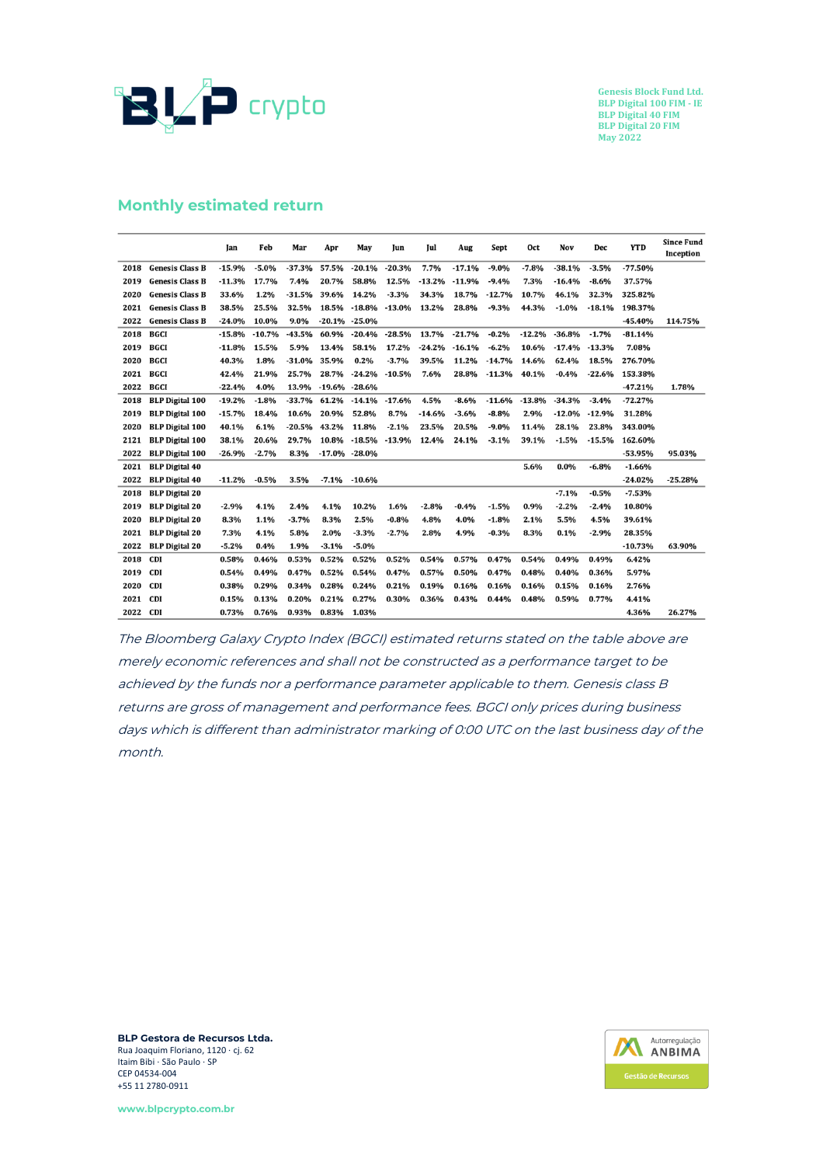

#### **Monthly estimated return**

|      |                        | Jan      | Feb      | Mar      | Apr               | May           | lun      | Jul      | Aug      | Sept     | Oct      | Nov      | Dec      | <b>YTD</b> | <b>Since Fund</b><br>Inception |
|------|------------------------|----------|----------|----------|-------------------|---------------|----------|----------|----------|----------|----------|----------|----------|------------|--------------------------------|
| 2018 | <b>Genesis Class B</b> | $-15.9%$ | $-5.0%$  | $-37.3%$ | 57.5%             | $-20.1%$      | $-20.3%$ | 7.7%     | $-17.1%$ | $-9.0%$  | $-7.8%$  | $-38.1%$ | $-3.5%$  | $-77.50%$  |                                |
| 2019 | <b>Genesis Class B</b> | $-11.3%$ | 17.7%    | 7.4%     | 20.7%             | 58.8%         | 12.5%    | $-13.2%$ | $-11.9%$ | $-9.4%$  | 7.3%     | $-16.4%$ | $-8.6%$  | 37.57%     |                                |
| 2020 | <b>Genesis Class B</b> | 33.6%    | 1.2%     | $-31.5%$ | 39.6%             | 14.2%         | $-3.3%$  | 34.3%    | 18.7%    | $-12.7%$ | 10.7%    | 46.1%    | 32.3%    | 325.82%    |                                |
| 2021 | <b>Genesis Class B</b> | 38.5%    | 25.5%    | 32.5%    | 18.5%             | $-18.8%$      | $-13.0%$ | 13.2%    | 28.8%    | $-9.3%$  | 44.3%    | $-1.0%$  | 18.1%    | 198.37%    |                                |
| 2022 | <b>Genesis Class B</b> | $-24.0%$ | 10.0%    | 9.0%     |                   | -20.1% -25.0% |          |          |          |          |          |          |          | $-45.40%$  | 114.75%                        |
| 2018 | BGCI                   | $-15.8%$ | $-10.7%$ | $-43.5%$ | 60.9%             | $-20.4%$      | $-28.5%$ | 13.7%    | $-21.7%$ | $-0.2%$  | $-12.2%$ | $-36.8%$ | $-1.7%$  | $-81.14%$  |                                |
| 2019 | <b>BGCI</b>            | $-11.8%$ | 15.5%    | 5.9%     | 13.4%             | 58.1%         | 17.2%    | $-24.2%$ | $-16.1%$ | $-6.2%$  | 10.6%    | $-17.4%$ | $-13.3%$ | 7.08%      |                                |
| 2020 | BGCI                   | 40.3%    | 1.8%     | -31.0%   | 35.9%             | 0.2%          | $-3.7%$  | 39.5%    | 11.2%    | $-14.7%$ | 14.6%    | 62.4%    | 18.5%    | 276.70%    |                                |
| 2021 | BGCI                   | 42.4%    | 21.9%    | 25.7%    | 28.7%             | $-24.2%$      | $-10.5%$ | 7.6%     | 28.8%    | $-11.3%$ | 40.1%    | $-0.4%$  | $-22.6%$ | 153.38%    |                                |
| 2022 | <b>BGCI</b>            | $-22.4%$ | 4.0%     | 13.9%    | $-19.6\% -28.6\%$ |               |          |          |          |          |          |          |          | $-47.21%$  | 1.78%                          |
| 2018 | <b>BLP Digital 100</b> | $-19.2%$ | $-1.8%$  | $-33.7%$ | 61.2%             | $-14.1%$      | $-17.6%$ | 4.5%     | $-8.6%$  | $-11.6%$ | $-13.8%$ | $-34.3%$ | $-3.4%$  | $-72.27%$  |                                |
| 2019 | <b>BLP Digital 100</b> | $-15.7%$ | 18.4%    | 10.6%    | 20.9%             | 52.8%         | 8.7%     | $-14.6%$ | $-3.6%$  | $-8.8%$  | 2.9%     | $-12.0%$ | $-12.9%$ | 31.28%     |                                |
| 2020 | <b>BLP Digital 100</b> | 40.1%    | 6.1%     | $-20.5%$ | 43.2%             | 11.8%         | $-2.1%$  | 23.5%    | 20.5%    | $-9.0%$  | 11.4%    | 28.1%    | 23.8%    | 343.00%    |                                |
| 2121 | <b>BLP Digital 100</b> | 38.1%    | 20.6%    | 29.7%    | 10.8%             | $-18.5%$      | $-13.9%$ | 12.4%    | 24.1%    | $-3.1%$  | 39.1%    | $-1.5%$  | $-15.5%$ | 162.60%    |                                |
| 2022 | <b>BLP Digital 100</b> | $-26.9%$ | $-2.7%$  | 8.3%     | $-17.0\% -28.0\%$ |               |          |          |          |          |          |          |          | $-53.95%$  | 95.03%                         |
| 2021 | <b>BLP</b> Digital 40  |          |          |          |                   |               |          |          |          |          | 5.6%     | $0.0\%$  | $-6.8%$  | $-1.66%$   |                                |
| 2022 | <b>BLP Digital 40</b>  | $-11.2%$ | $-0.5%$  | 3.5%     | $-7.1\%$          | $-10.6%$      |          |          |          |          |          |          |          | $-24.02%$  | $-25.28%$                      |
| 2018 | <b>BLP Digital 20</b>  |          |          |          |                   |               |          |          |          |          |          | $-7.1%$  | $-0.5%$  | $-7.53%$   |                                |
| 2019 | <b>BLP</b> Digital 20  | $-2.9%$  | 4.1%     | 2.4%     | 4.1%              | 10.2%         | 1.6%     | $-2.8%$  | $-0.4%$  | $-1.5%$  | 0.9%     | $-2.2%$  | $-2.4%$  | 10.80%     |                                |
| 2020 | <b>BLP</b> Digital 20  | 8.3%     | 1.1%     | $-3.7%$  | 8.3%              | 2.5%          | $-0.8%$  | 4.8%     | 4.0%     | $-1.8%$  | 2.1%     | 5.5%     | 4.5%     | 39.61%     |                                |
| 2021 | <b>BLP Digital 20</b>  | 7.3%     | 4.1%     | 5.8%     | 2.0%              | $-3.3%$       | $-2.7%$  | 2.8%     | 4.9%     | $-0.3%$  | 8.3%     | 0.1%     | $-2.9%$  | 28.35%     |                                |
| 2022 | <b>BLP Digital 20</b>  | $-5.2%$  | 0.4%     | 1.9%     | $-3.1%$           | $-5.0%$       |          |          |          |          |          |          |          | $-10.73%$  | 63.90%                         |
| 2018 | <b>CDI</b>             | 0.58%    | 0.46%    | 0.53%    | 0.52%             | 0.52%         | 0.52%    | 0.54%    | 0.57%    | 0.47%    | 0.54%    | 0.49%    | 0.49%    | 6.42%      |                                |
| 2019 | <b>CDI</b>             | 0.54%    | 0.49%    | 0.47%    | 0.52%             | 0.54%         | 0.47%    | 0.57%    | 0.50%    | 0.47%    | 0.48%    | 0.40%    | 0.36%    | 5.97%      |                                |
| 2020 | <b>CDI</b>             | 0.38%    | 0.29%    | 0.34%    | 0.28%             | 0.24%         | 0.21%    | 0.19%    | 0.16%    | 0.16%    | 0.16%    | 0.15%    | 0.16%    | 2.76%      |                                |
| 2021 | <b>CDI</b>             | 0.15%    | 0.13%    | 0.20%    | 0.21%             | 0.27%         | 0.30%    | 0.36%    | 0.43%    | 0.44%    | 0.48%    | 0.59%    | 0.77%    | 4.41%      |                                |
| 2022 | <b>CDI</b>             | 0.73%    | 0.76%    | 0.93%    | 0.83%             | 1.03%         |          |          |          |          |          |          |          | 4.36%      | 26.27%                         |

The Bloomberg Galaxy Crypto Index (BGCI) estimated returns stated on the table above are merely economic references and shall not be constructed as <sup>a</sup> performance target to be achieved by the funds nor <sup>a</sup> performance parameter applicable to them. Genesis class B returns are gross of management and performance fees. BGCI only prices during business days which is different than administrator marking of 0:00 UTC on the last business day of the month.

**BLP Gestora de Recursos Ltda.** Rua Joaquim Floriano, 1120 ∙ cj. 62 Itaim Bibi ∙ São Paulo ∙ SP CEP 04534-004 +55 11 2780-0911

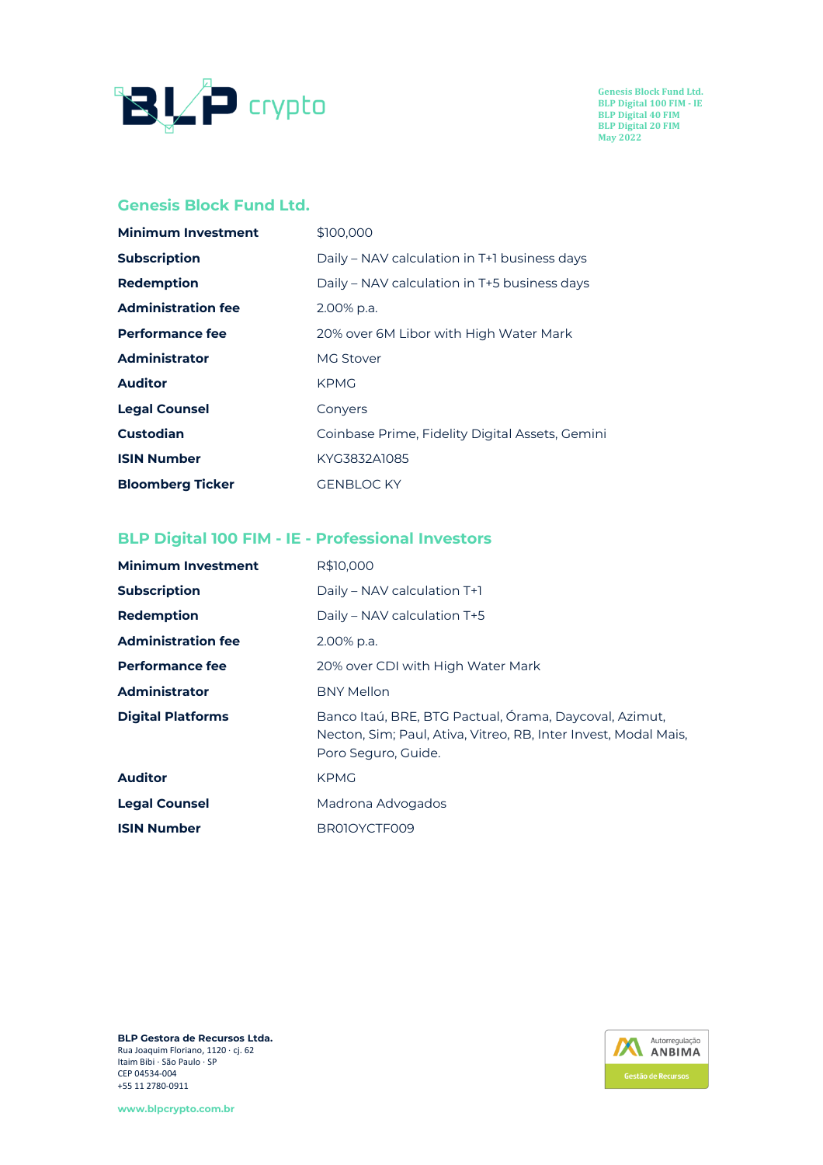

#### **Genesis Block Fund Ltd.**

| <b>Minimum Investment</b> | \$100,000                                       |
|---------------------------|-------------------------------------------------|
| <b>Subscription</b>       | Daily - NAV calculation in T+1 business days    |
| <b>Redemption</b>         | Daily – NAV calculation in T+5 business days    |
| <b>Administration fee</b> | 2.00% p.a.                                      |
| <b>Performance fee</b>    | 20% over 6M Libor with High Water Mark          |
| <b>Administrator</b>      | <b>MG Stover</b>                                |
| <b>Auditor</b>            | <b>KPMG</b>                                     |
| <b>Legal Counsel</b>      | Convers                                         |
| <b>Custodian</b>          | Coinbase Prime, Fidelity Digital Assets, Gemini |
| <b>ISIN Number</b>        | KYG3832A1085                                    |
| <b>Bloomberg Ticker</b>   | <b>GENBLOC KY</b>                               |

# **BLP Digital 100 FIM - IE - Professional Investors**

| <b>Minimum Investment</b> | R\$10,000                                                                                                                                        |
|---------------------------|--------------------------------------------------------------------------------------------------------------------------------------------------|
| <b>Subscription</b>       | Daily – NAV calculation T+1                                                                                                                      |
| <b>Redemption</b>         | Daily – NAV calculation T+5                                                                                                                      |
| <b>Administration fee</b> | 2.00% p.a.                                                                                                                                       |
| <b>Performance fee</b>    | 20% over CDI with High Water Mark                                                                                                                |
| <b>Administrator</b>      | <b>BNY Mellon</b>                                                                                                                                |
| <b>Digital Platforms</b>  | Banco Itaú, BRE, BTG Pactual, Órama, Daycoval, Azimut,<br>Necton, Sim; Paul, Ativa, Vitreo, RB, Inter Invest, Modal Mais,<br>Poro Seguro, Guide. |
| <b>Auditor</b>            | <b>KPMG</b>                                                                                                                                      |
| <b>Legal Counsel</b>      | Madrona Advogados                                                                                                                                |
| <b>ISIN Number</b>        | BR01OYCTF009                                                                                                                                     |

**BLP Gestora de Recursos Ltda.** Rua Joaquim Floriano, 1120 ∙ cj. 62 Itaim Bibi ∙ São Paulo ∙ SP CEP 04534-004 +55 11 2780-0911

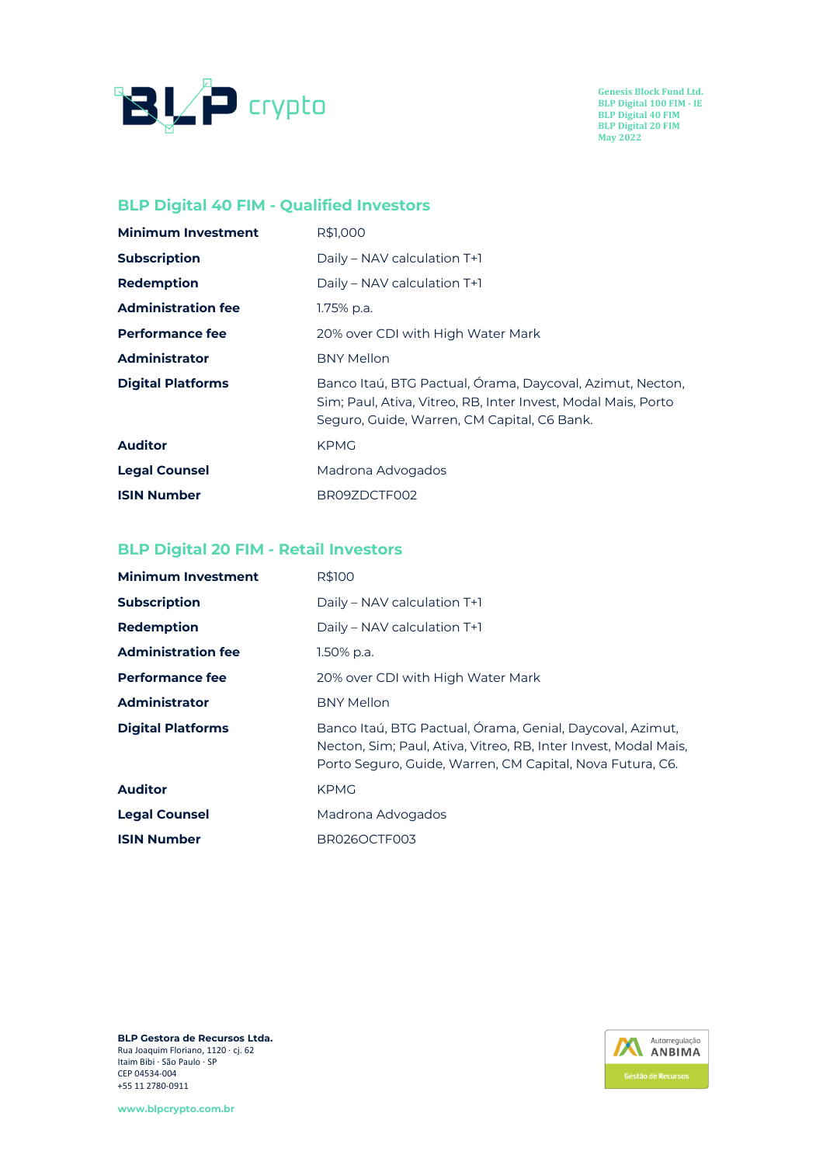

# **BLP Digital 40 FIM - Qualified Investors**

| <b>Minimum Investment</b> | R\$1,000                                                                                                                                                                  |
|---------------------------|---------------------------------------------------------------------------------------------------------------------------------------------------------------------------|
| <b>Subscription</b>       | Daily – NAV calculation T+1                                                                                                                                               |
| <b>Redemption</b>         | Daily – NAV calculation T+1                                                                                                                                               |
| <b>Administration fee</b> | 1.75% p.a.                                                                                                                                                                |
| <b>Performance fee</b>    | 20% over CDI with High Water Mark                                                                                                                                         |
| <b>Administrator</b>      | <b>BNY Mellon</b>                                                                                                                                                         |
| <b>Digital Platforms</b>  | Banco Itaú, BTG Pactual, Órama, Daycoval, Azimut, Necton,<br>Sim; Paul, Ativa, Vitreo, RB, Inter Invest, Modal Mais, Porto<br>Seguro, Guide, Warren, CM Capital, C6 Bank. |
| <b>Auditor</b>            | <b>KPMG</b>                                                                                                                                                               |
| <b>Legal Counsel</b>      | Madrona Advogados                                                                                                                                                         |
| <b>ISIN Number</b>        | BR09ZDCTF002                                                                                                                                                              |

# **BLP Digital 20 FIM - Retail Investors**

| <b>Minimum Investment</b> | R\$100                                                                                                                                                                                    |
|---------------------------|-------------------------------------------------------------------------------------------------------------------------------------------------------------------------------------------|
| <b>Subscription</b>       | Daily - NAV calculation T+1                                                                                                                                                               |
| <b>Redemption</b>         | Daily – NAV calculation T+1                                                                                                                                                               |
| <b>Administration fee</b> | 1.50% p.a.                                                                                                                                                                                |
| <b>Performance fee</b>    | 20% over CDI with High Water Mark                                                                                                                                                         |
| <b>Administrator</b>      | <b>BNY Mellon</b>                                                                                                                                                                         |
| <b>Digital Platforms</b>  | Banco Itaú, BTG Pactual, Órama, Genial, Daycoval, Azimut,<br>Necton, Sim; Paul, Ativa, Vitreo, RB, Inter Invest, Modal Mais,<br>Porto Seguro, Guide, Warren, CM Capital, Nova Futura, C6. |
| <b>Auditor</b>            | <b>KPMG</b>                                                                                                                                                                               |
| <b>Legal Counsel</b>      | Madrona Advogados                                                                                                                                                                         |
| <b>ISIN Number</b>        | BR026OCTF003                                                                                                                                                                              |